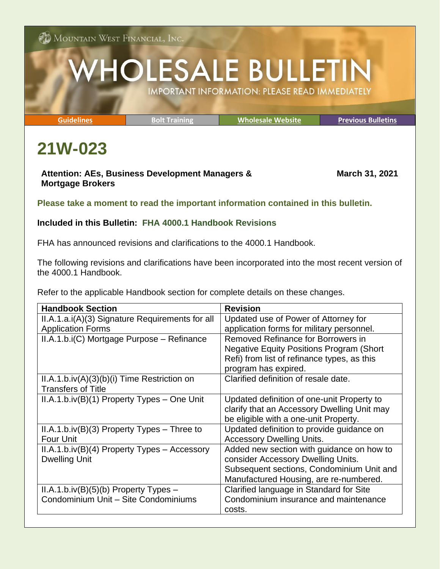**ON** MOUNTAIN WEST FINANCIAL, INC.

## **HOLESALE BULLETIN IMPORTANT INFORMATION: PLEASE READ IMMEDIATELY**

**[Guidelines](http://www.mwfwholesale.com/index.php/product-guidelines) [Bolt Training](http://www.mwfwholesale.com/index.php/bolt/how-to-s-pdf-s) [Wholesale Website](http://www.mwfwholesale.com/) [Previous Bulletins](http://www.mwfwholesale.com/index.php/bulletins)**

## **21W-023**

## **Attention: AEs, Business Development Managers & Mortgage Brokers**

**March 31, 2021**

**Please take a moment to read the important information contained in this bulletin.**

## **Included in this Bulletin: FHA 4000.1 Handbook Revisions**

FHA has announced revisions and clarifications to the 4000.1 Handbook.

The following revisions and clarifications have been incorporated into the most recent version of the 4000.1 Handbook.

Refer to the applicable Handbook section for complete details on these changes.

| <b>Handbook Section</b>                         | <b>Revision</b>                                   |
|-------------------------------------------------|---------------------------------------------------|
| II.A.1.a.i(A)(3) Signature Requirements for all | Updated use of Power of Attorney for              |
| <b>Application Forms</b>                        | application forms for military personnel.         |
| II.A.1.b.i(C) Mortgage Purpose - Refinance      | Removed Refinance for Borrowers in                |
|                                                 | <b>Negative Equity Positions Program (Short</b> ) |
|                                                 | Refi) from list of refinance types, as this       |
|                                                 | program has expired.                              |
| $II.A.1.b.iv(A)(3)(b)(i)$ Time Restriction on   | Clarified definition of resale date.              |
| <b>Transfers of Title</b>                       |                                                   |
| $II.A.1.b.iv(B)(1)$ Property Types – One Unit   | Updated definition of one-unit Property to        |
|                                                 | clarify that an Accessory Dwelling Unit may       |
|                                                 | be eligible with a one-unit Property.             |
| $II.A.1.b.iv(B)(3)$ Property Types – Three to   | Updated definition to provide guidance on         |
| <b>Four Unit</b>                                | <b>Accessory Dwelling Units.</b>                  |
| $II.A.1.b.iv(B)(4)$ Property Types – Accessory  | Added new section with guidance on how to         |
| <b>Dwelling Unit</b>                            | consider Accessory Dwelling Units.                |
|                                                 | Subsequent sections, Condominium Unit and         |
|                                                 | Manufactured Housing, are re-numbered.            |
| $II.A.1.b.iv(B)(5)(b)$ Property Types –         | Clarified language in Standard for Site           |
| Condominium Unit - Site Condominiums            | Condominium insurance and maintenance             |
|                                                 | costs.                                            |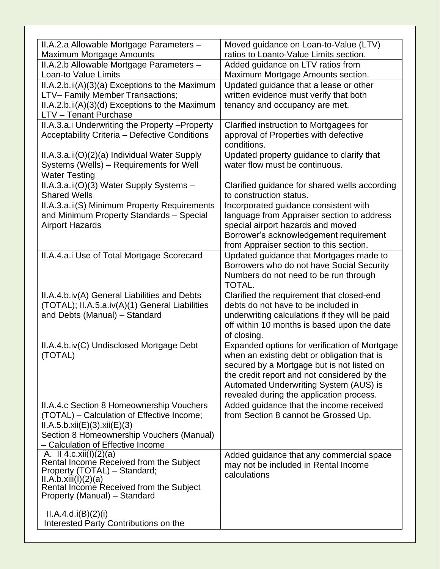| II.A.2.a Allowable Mortgage Parameters -<br>Maximum Mortgage Amounts    | Moved guidance on Loan-to-Value (LTV)<br>ratios to Loanto-Value Limits section. |
|-------------------------------------------------------------------------|---------------------------------------------------------------------------------|
| II.A.2.b Allowable Mortgage Parameters -<br>Loan-to Value Limits        | Added guidance on LTV ratios from<br>Maximum Mortgage Amounts section.          |
|                                                                         |                                                                                 |
| $II.A.2.b.ii(A)(3)(a)$ Exceptions to the Maximum                        | Updated guidance that a lease or other                                          |
| LTV-Family Member Transactions;                                         | written evidence must verify that both                                          |
| II.A.2.b.ii(A)(3)(d) Exceptions to the Maximum<br>LTV - Tenant Purchase | tenancy and occupancy are met.                                                  |
| II.A.3.a.i Underwriting the Property - Property                         | Clarified instruction to Mortgagees for                                         |
| Acceptability Criteria - Defective Conditions                           | approval of Properties with defective<br>conditions.                            |
| II.A.3.a.ii(O)(2)(a) Individual Water Supply                            | Updated property guidance to clarify that                                       |
| Systems (Wells) - Requirements for Well                                 | water flow must be continuous.                                                  |
| <b>Water Testing</b>                                                    |                                                                                 |
| II.A.3.a.ii(O)(3) Water Supply Systems -                                | Clarified guidance for shared wells according                                   |
| <b>Shared Wells</b>                                                     | to construction status.                                                         |
| II.A.3.a.ii(S) Minimum Property Requirements                            | Incorporated guidance consistent with                                           |
| and Minimum Property Standards - Special                                | language from Appraiser section to address                                      |
| <b>Airport Hazards</b>                                                  | special airport hazards and moved                                               |
|                                                                         | Borrower's acknowledgement requirement                                          |
|                                                                         | from Appraiser section to this section.                                         |
| II.A.4.a.i Use of Total Mortgage Scorecard                              | Updated guidance that Mortgages made to                                         |
|                                                                         | Borrowers who do not have Social Security                                       |
|                                                                         | Numbers do not need to be run through                                           |
|                                                                         | TOTAL.                                                                          |
| II.A.4.b.iv(A) General Liabilities and Debts                            | Clarified the requirement that closed-end                                       |
| (TOTAL); II.A.5.a.iv(A)(1) General Liabilities                          | debts do not have to be included in                                             |
| and Debts (Manual) - Standard                                           | underwriting calculations if they will be paid                                  |
|                                                                         | off within 10 months is based upon the date                                     |
|                                                                         | of closing.                                                                     |
| II.A.4.b.iv(C) Undisclosed Mortgage Debt                                | Expanded options for verification of Mortgage                                   |
| (TOTAL)                                                                 | when an existing debt or obligation that is                                     |
|                                                                         | secured by a Mortgage but is not listed on                                      |
|                                                                         | the credit report and not considered by the                                     |
|                                                                         | Automated Underwriting System (AUS) is                                          |
|                                                                         | revealed during the application process.                                        |
| II.A.4.c Section 8 Homeownership Vouchers                               | Added guidance that the income received                                         |
| (TOTAL) – Calculation of Effective Income;                              | from Section 8 cannot be Grossed Up.                                            |
| ILA.5.b. xii(E)(3). xii(E)(3)                                           |                                                                                 |
| Section 8 Homeownership Vouchers (Manual)                               |                                                                                 |
| - Calculation of Effective Income                                       |                                                                                 |
| A. II 4.c.xii(I)(2)(a)                                                  | Added guidance that any commercial space                                        |
| Rental Income Received from the Subject<br>Property (TOTAL) - Standard; | may not be included in Rental Income                                            |
| II.A.b.xiii(I)(2)(a)                                                    | calculations                                                                    |
| Rental Income Received from the Subject                                 |                                                                                 |
| Property (Manual) - Standard                                            |                                                                                 |
|                                                                         |                                                                                 |
| ILA.4.d.i(B)(2)(i)<br>Interested Party Contributions on the             |                                                                                 |
|                                                                         |                                                                                 |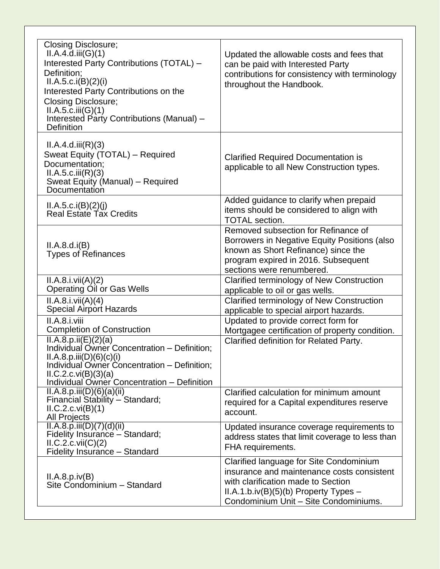| <b>Closing Disclosure;</b><br>ILA.4.d.iii(G)(1)<br>Interested Party Contributions (TOTAL) -<br>Definition;<br>ILA.5.c.i(B)(2)(i)<br>Interested Party Contributions on the<br><b>Closing Disclosure;</b><br>II.A.5.c.iii(G)(1)<br>Interested Party Contributions (Manual) -<br><b>Definition</b> | Updated the allowable costs and fees that<br>can be paid with Interested Party<br>contributions for consistency with terminology<br>throughout the Handbook.                                                      |
|-------------------------------------------------------------------------------------------------------------------------------------------------------------------------------------------------------------------------------------------------------------------------------------------------|-------------------------------------------------------------------------------------------------------------------------------------------------------------------------------------------------------------------|
| II.A.4.d.iii(R)(3)<br>Sweat Equity (TOTAL) - Required<br>Documentation;<br>ILA.5.c.iii(R)(3)<br>Sweat Equity (Manual) - Required<br>Documentation                                                                                                                                               | <b>Clarified Required Documentation is</b><br>applicable to all New Construction types.                                                                                                                           |
| ILA.5.c.i(B)(2)(j)<br><b>Real Estate Tax Credits</b>                                                                                                                                                                                                                                            | Added guidance to clarify when prepaid<br>items should be considered to align with<br><b>TOTAL</b> section.                                                                                                       |
| II.A.8.d.i(B)<br><b>Types of Refinances</b>                                                                                                                                                                                                                                                     | Removed subsection for Refinance of<br>Borrowers in Negative Equity Positions (also<br>known as Short Refinance) since the<br>program expired in 2016. Subsequent<br>sections were renumbered.                    |
| II.A.8.i.vii(A)(2)<br><b>Operating Oil or Gas Wells</b>                                                                                                                                                                                                                                         | Clarified terminology of New Construction<br>applicable to oil or gas wells.                                                                                                                                      |
| II.A.8.i.vii(A)(4)<br><b>Special Airport Hazards</b>                                                                                                                                                                                                                                            | Clarified terminology of New Construction<br>applicable to special airport hazards.                                                                                                                               |
| II.A.8.i.viii<br><b>Completion of Construction</b>                                                                                                                                                                                                                                              | Updated to provide correct form for<br>Mortgagee certification of property condition.                                                                                                                             |
| $\Pi.A.8.p.ii(E)(2)(a)$<br>Individual Owner Concentration - Definition;<br>ILA.8.p.iii(D)(6)(c)(i)<br>Individual Owner Concentration - Definition;<br>ILC.2.c.vi(B)(3)(a)<br>Individual Owner Concentration - Definition                                                                        | Clarified definition for Related Party.                                                                                                                                                                           |
| ILA.8.p.iii(D)(6)(a)(ii)<br>Financial Stability - Standard;<br>ILC.2.c.vi(B)(1)<br><b>All Projects</b>                                                                                                                                                                                          | Clarified calculation for minimum amount<br>required for a Capital expenditures reserve<br>account.                                                                                                               |
| ILA.8.p.iii(D)(7)(d)(ii)<br>Fidelity Insurance - Standard;<br>ILC.2.c.vii(C)(2)<br>Fidelity Insurance - Standard                                                                                                                                                                                | Updated insurance coverage requirements to<br>address states that limit coverage to less than<br>FHA requirements.                                                                                                |
| ILA.8.p.iv(B)<br>Site Condominium - Standard                                                                                                                                                                                                                                                    | Clarified language for Site Condominium<br>insurance and maintenance costs consistent<br>with clarification made to Section<br>$II.A.1.b.iv(B)(5)(b)$ Property Types $-$<br>Condominium Unit - Site Condominiums. |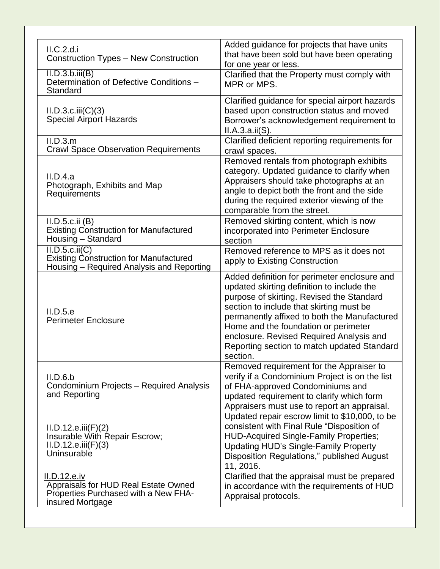| ILC.2.d.i<br><b>Construction Types - New Construction</b>                                                        | Added guidance for projects that have units<br>that have been sold but have been operating                                                                                                                                                                                                                                                                                         |
|------------------------------------------------------------------------------------------------------------------|------------------------------------------------------------------------------------------------------------------------------------------------------------------------------------------------------------------------------------------------------------------------------------------------------------------------------------------------------------------------------------|
| II.D.3.b.iii(B)<br>Determination of Defective Conditions -<br>Standard                                           | for one year or less.<br>Clarified that the Property must comply with<br>MPR or MPS.                                                                                                                                                                                                                                                                                               |
| ILD.3.c.iii(C)(3)<br><b>Special Airport Hazards</b>                                                              | Clarified guidance for special airport hazards<br>based upon construction status and moved<br>Borrower's acknowledgement requirement to<br>II.A.3.a.ii(S).                                                                                                                                                                                                                         |
| II.D.3.m<br><b>Crawl Space Observation Requirements</b>                                                          | Clarified deficient reporting requirements for<br>crawl spaces.                                                                                                                                                                                                                                                                                                                    |
| II.D.4.a<br>Photograph, Exhibits and Map<br>Requirements                                                         | Removed rentals from photograph exhibits<br>category. Updated guidance to clarify when<br>Appraisers should take photographs at an<br>angle to depict both the front and the side<br>during the required exterior viewing of the<br>comparable from the street.                                                                                                                    |
| II.D.5.c.ii (B)<br><b>Existing Construction for Manufactured</b><br>Housing - Standard                           | Removed skirting content, which is now<br>incorporated into Perimeter Enclosure<br>section                                                                                                                                                                                                                                                                                         |
| ILD.5.c.ii(C)<br><b>Existing Construction for Manufactured</b><br>Housing - Required Analysis and Reporting      | Removed reference to MPS as it does not<br>apply to Existing Construction                                                                                                                                                                                                                                                                                                          |
| II.D.5.e<br><b>Perimeter Enclosure</b>                                                                           | Added definition for perimeter enclosure and<br>updated skirting definition to include the<br>purpose of skirting. Revised the Standard<br>section to include that skirting must be<br>permanently affixed to both the Manufactured<br>Home and the foundation or perimeter<br>enclosure. Revised Required Analysis and<br>Reporting section to match updated Standard<br>section. |
| II.D.6.b<br>Condominium Projects - Required Analysis<br>and Reporting                                            | Removed requirement for the Appraiser to<br>verify if a Condominium Project is on the list<br>of FHA-approved Condominiums and<br>updated requirement to clarify which form<br>Appraisers must use to report an appraisal.                                                                                                                                                         |
| ILD.12.e.iii(F)(2)<br>Insurable With Repair Escrow;<br>ILD.12.e.iii(F)(3)<br>Uninsurable                         | Updated repair escrow limit to \$10,000, to be<br>consistent with Final Rule "Disposition of<br><b>HUD-Acquired Single-Family Properties;</b><br><b>Updating HUD's Single-Family Property</b><br>Disposition Regulations," published August<br>11, 2016.                                                                                                                           |
| II.D.12.e.iv<br>Appraisals for HUD Real Estate Owned<br>Properties Purchased with a New FHA-<br>insured Mortgage | Clarified that the appraisal must be prepared<br>in accordance with the requirements of HUD<br>Appraisal protocols.                                                                                                                                                                                                                                                                |